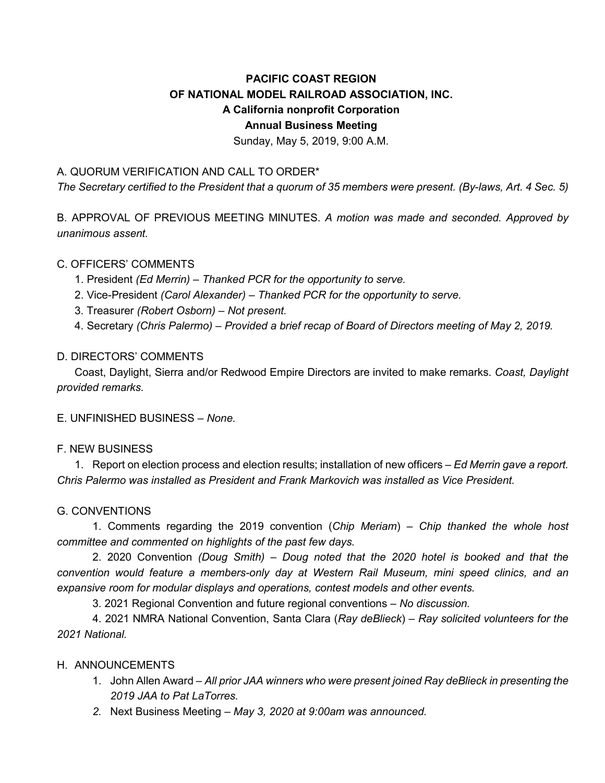# **PACIFIC COAST REGION OF NATIONAL MODEL RAILROAD ASSOCIATION, INC. A California nonprofit Corporation Annual Business Meeting**

Sunday, May 5, 2019, 9:00 A.M.

# A. QUORUM VERIFICATION AND CALL TO ORDER\*

*The Secretary certified to the President that a quorum of 35 members were present. (By-laws, Art. 4 Sec. 5)*

B. APPROVAL OF PREVIOUS MEETING MINUTES. *A motion was made and seconded. Approved by unanimous assent.*

## C. OFFICERS' COMMENTS

- 1. President *(Ed Merrin) – Thanked PCR for the opportunity to serve.*
- 2. Vice-President *(Carol Alexander) – Thanked PCR for the opportunity to serve.*
- 3. Treasurer *(Robert Osborn) – Not present.*

4. Secretary *(Chris Palermo)* – *Provided a brief recap of Board of Directors meeting of May 2, 2019.*

## D. DIRECTORS' COMMENTS

Coast, Daylight, Sierra and/or Redwood Empire Directors are invited to make remarks. *Coast, Daylight provided remarks.*

E. UNFINISHED BUSINESS – *None.*

#### F. NEW BUSINESS

1. Report on election process and election results; installation of new officers – *Ed Merrin gave a report. Chris Palermo was installed as President and Frank Markovich was installed as Vice President.*

#### G. CONVENTIONS

1. Comments regarding the 2019 convention (*Chip Meriam*) – *Chip thanked the whole host committee and commented on highlights of the past few days.*

2. 2020 Convention *(Doug Smith) – Doug noted that the 2020 hotel is booked and that the convention would feature a members-only day at Western Rail Museum, mini speed clinics, and an expansive room for modular displays and operations, contest models and other events.*

3. 2021 Regional Convention and future regional conventions *– No discussion.*

4. 2021 NMRA National Convention, Santa Clara (*Ray deBlieck*) *– Ray solicited volunteers for the 2021 National.*

# H. ANNOUNCEMENTS

- 1. John Allen Award *All prior JAA winners who were present joined Ray deBlieck in presenting the 2019 JAA to Pat LaTorres.*
- *2.* Next Business Meeting *May 3, 2020 at 9:00am was announced.*